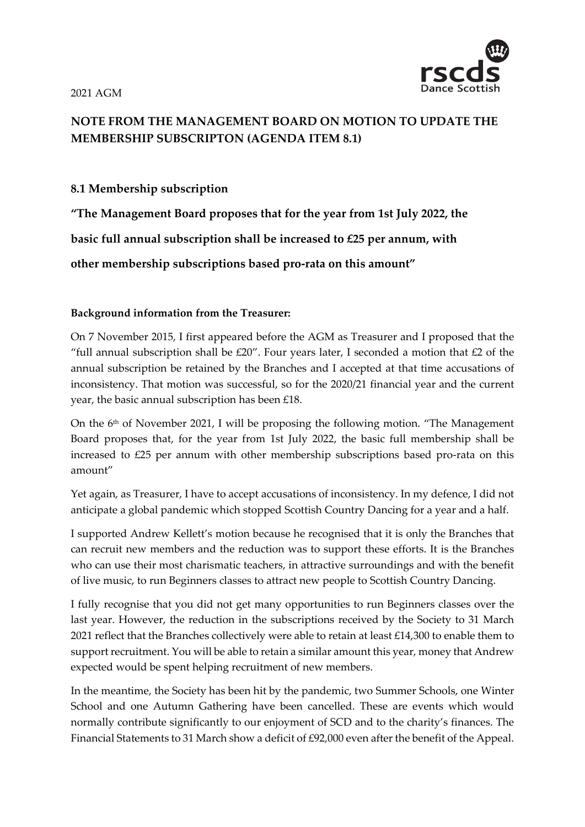2021 AGM



## **NOTE FROM THE MANAGEMENT BOARD ON MOTION TO UPDATE THE MEMBERSHIP SUBSCRIPTON (AGENDA ITEM 8.1)**

## **8.1 Membership subscription**

**"The Management Board proposes that for the year from 1st July 2022, the basic full annual subscription shall be increased to £25 per annum, with other membership subscriptions based pro-rata on this amount"**

## **Background information from the Treasurer:**

On 7 November 2015, I first appeared before the AGM as Treasurer and I proposed that the "full annual subscription shall be  $£20"$ . Four years later, I seconded a motion that  $£2$  of the annual subscription be retained by the Branches and I accepted at that time accusations of inconsistency. That motion was successful, so for the 2020/21 financial year and the current year, the basic annual subscription has been £18.

On the 6<sup>th</sup> of November 2021, I will be proposing the following motion. "The Management Board proposes that, for the year from 1st July 2022, the basic full membership shall be increased to £25 per annum with other membership subscriptions based pro-rata on this amount"

Yet again, as Treasurer, I have to accept accusations of inconsistency. In my defence, I did not anticipate a global pandemic which stopped Scottish Country Dancing for a year and a half.

I supported Andrew Kellett's motion because he recognised that it is only the Branches that can recruit new members and the reduction was to support these efforts. It is the Branches who can use their most charismatic teachers, in attractive surroundings and with the benefit of live music, to run Beginners classes to attract new people to Scottish Country Dancing.

I fully recognise that you did not get many opportunities to run Beginners classes over the last year. However, the reduction in the subscriptions received by the Society to 31 March 2021 reflect that the Branches collectively were able to retain at least £14,300 to enable them to support recruitment. You will be able to retain a similar amount this year, money that Andrew expected would be spent helping recruitment of new members.

In the meantime, the Society has been hit by the pandemic, two Summer Schools, one Winter School and one Autumn Gathering have been cancelled. These are events which would normally contribute significantly to our enjoyment of SCD and to the charity's finances. The Financial Statements to 31 March show a deficit of £92,000 even after the benefit of the Appeal.